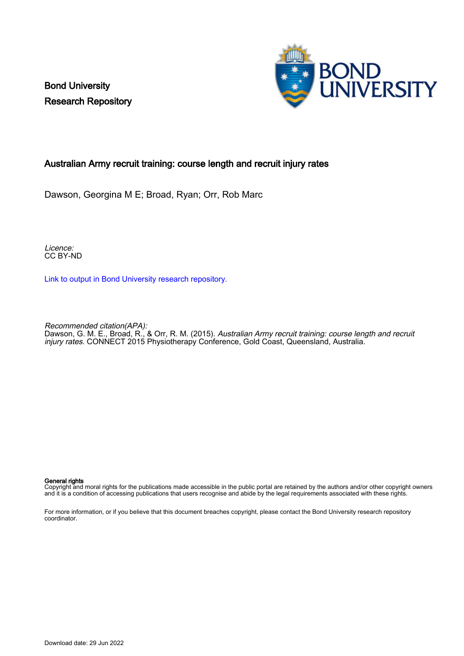Bond University Research Repository



#### Australian Army recruit training: course length and recruit injury rates

Dawson, Georgina M E; Broad, Ryan; Orr, Rob Marc

Licence: CC BY-ND

[Link to output in Bond University research repository.](https://research.bond.edu.au/en/publications/ebfacc7b-f312-4548-ac35-3a6d9555a146)

Recommended citation(APA):

Dawson, G. M. E., Broad, R., & Orr, R. M. (2015). *Australian Army recruit training: course length and recruit* injury rates. CONNECT 2015 Physiotherapy Conference, Gold Coast, Queensland, Australia.

#### General rights

Copyright and moral rights for the publications made accessible in the public portal are retained by the authors and/or other copyright owners and it is a condition of accessing publications that users recognise and abide by the legal requirements associated with these rights.

For more information, or if you believe that this document breaches copyright, please contact the Bond University research repository coordinator.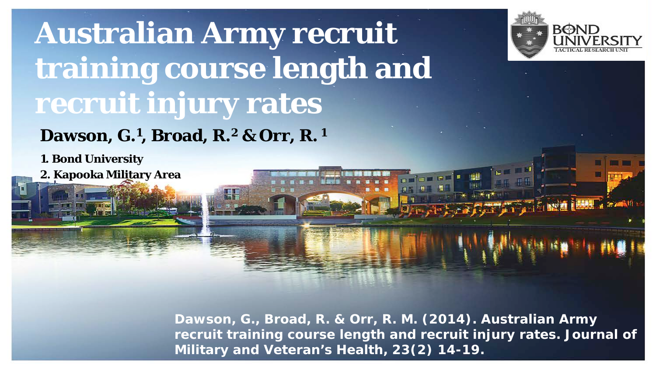## **Australian Army recruit training course length and recruit injury rates**



**Dawson, G.1, Broad, R.2 & Orr, R. <sup>1</sup>**

**1. Bond University**

**2. Kapooka Military Area**

**Dawson, G., Broad, R. & Orr, R. M. (2014). Australian Army recruit training course length and recruit injury rates. Journal of Military and Veteran's Health, 23(2) 14-19.**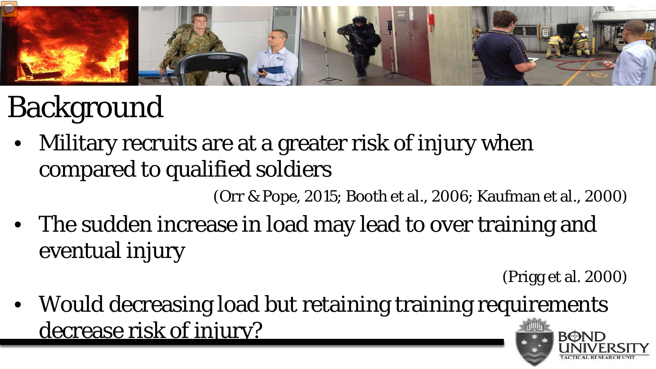

# Background

• Military recruits are at a greater risk of injury when compared to qualified soldiers

(Orr & Pope, 2015; Booth et al., 2006; Kaufman et al., 2000)

• The sudden increase in load may lead to over training and eventual injury

(Prigg et al. 2000)

• Would decreasing load but retaining training requirements decrease risk of injury?**BOND**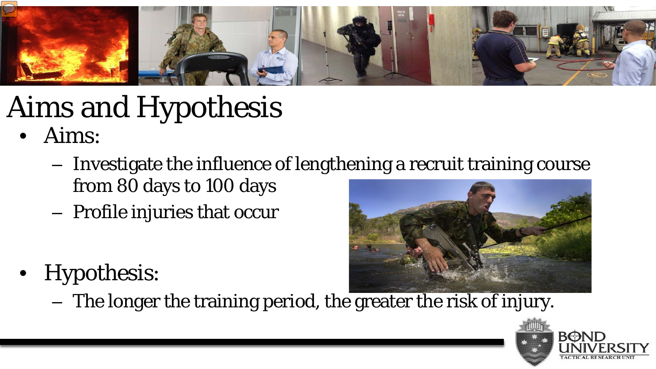

# Aims and Hypothesis

- Aims:
	- Investigate the influence of lengthening a recruit training course from 80 days to 100 days
	- Profile injuries that occur



– The longer the training period, the greater the risk of injury.



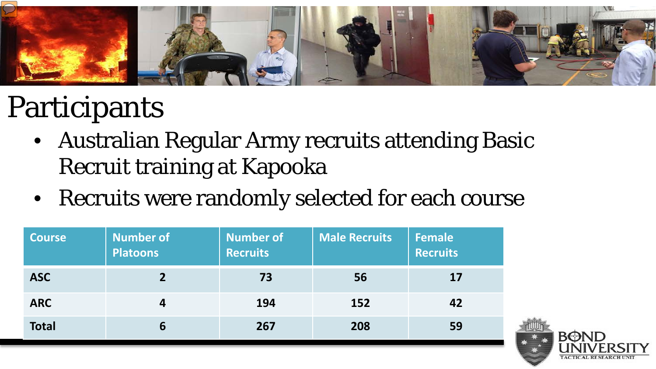

#### Participants

- Australian Regular Army recruits attending Basic Recruit training at Kapooka
- Recruits were randomly selected for each course

| <b>Course</b> | <b>Number of</b><br><b>Platoons</b> | <b>Number of</b><br><b>Recruits</b> | <b>Male Recruits</b> | <b>Female</b><br><b>Recruits</b> |
|---------------|-------------------------------------|-------------------------------------|----------------------|----------------------------------|
| <b>ASC</b>    |                                     | 73                                  | 56                   | 17                               |
| <b>ARC</b>    |                                     | 194                                 | 152                  | 42                               |
| <b>Total</b>  | 6                                   | 267                                 | 208                  | 59                               |

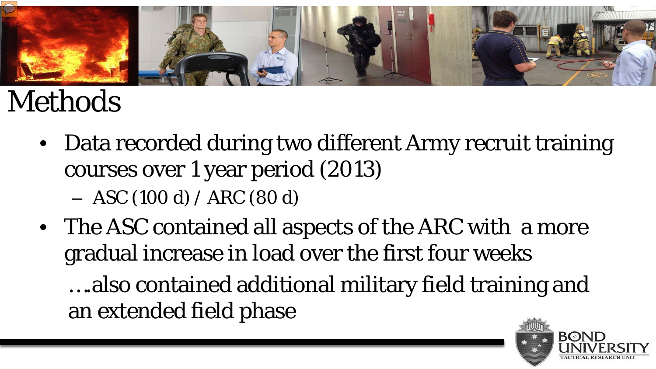

### Methods

- Data recorded during two different Army recruit training courses over 1 year period (2013)
	- *ASC (100 d) / ARC (80 d)*
- The ASC contained all aspects of the ARC with a more gradual increase in load over the first four weeks

….also contained additional military field training and an extended field phase

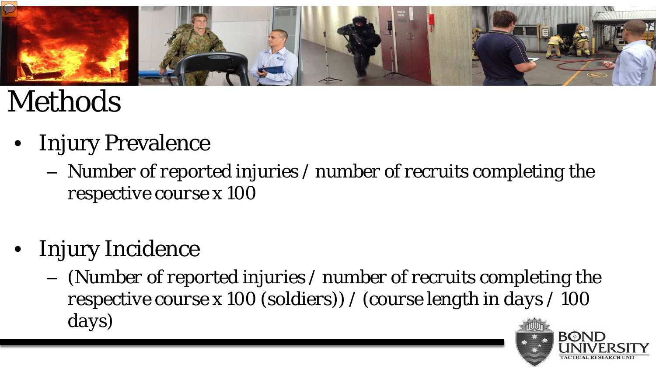

## Methods

- Injury Prevalence
	- *Number of reported injuries / number of recruits completing the respective course x 100*
- Injury Incidence
	- *(Number of reported injuries / number of recruits completing the respective course x 100 (soldiers)) / (course length in days / 100 days)*

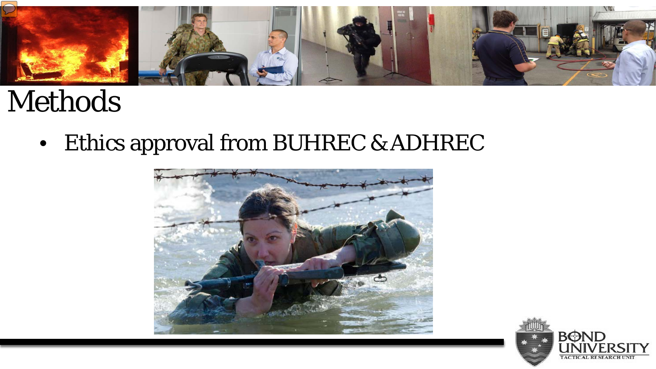

#### Methods

• Ethics approval from BUHREC & ADHREC



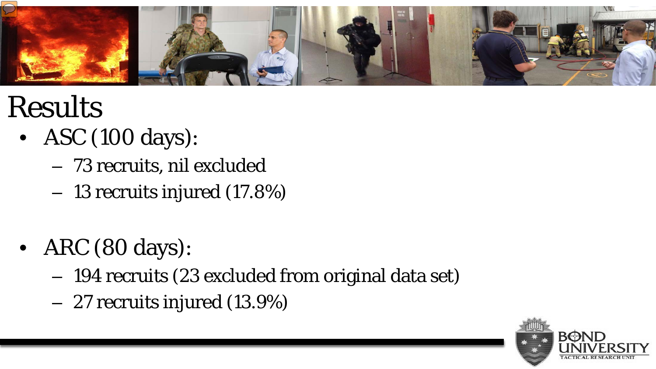

- ASC (100 days):
	- 73 recruits, nil excluded
	- 13 recruits injured (17.8%)
- ARC (80 days):
	- 194 recruits (23 excluded from original data set)
	- 27 recruits injured (13.9%)

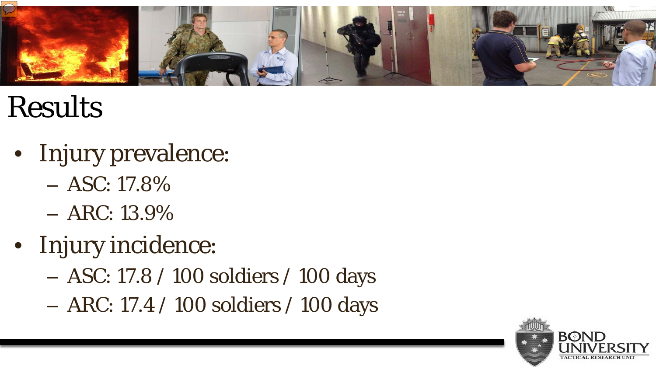

- Injury prevalence:
	- $-$  ASC: 17.8%
	- $-$  ARC: 13.9%
- Injury incidence:
	- ASC: 17.8 / 100 soldiers / 100 days
	- ARC: 17.4 / 100 soldiers / 100 days

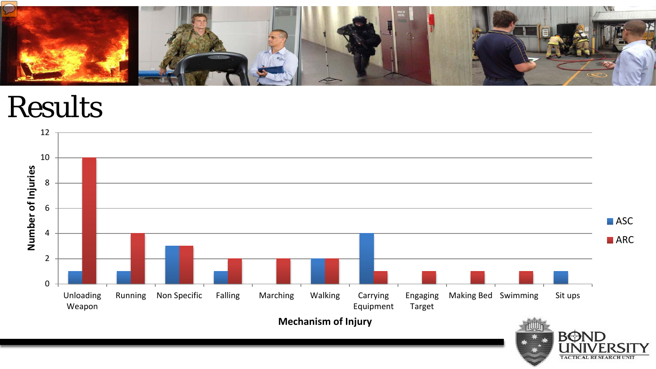



TACTICAL RESEARCH UNIT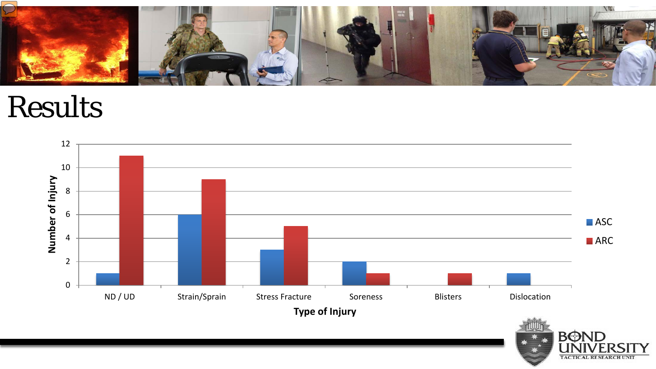



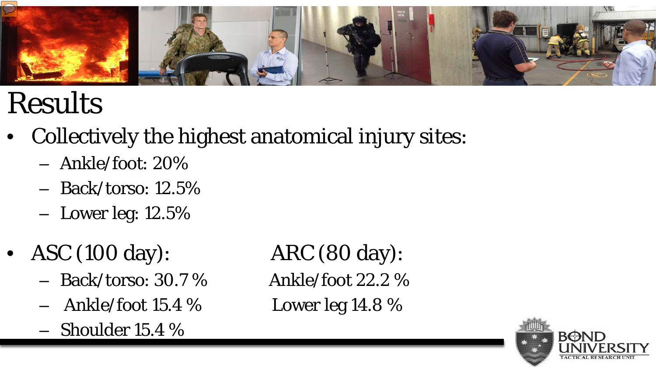

- Collectively the highest anatomical injury sites:
	- Ankle/foot: 20%
	- Back/torso: 12.5%
	- $-$  Lower leg: 12.5%
- ASC (100 day): ARC (80 day):
	- Back/torso: 30.7 % Ankle/foot 22.2 %
	- Ankle/foot 15.4 % Lower leg 14.8 %
	- Shoulder 15.4 %

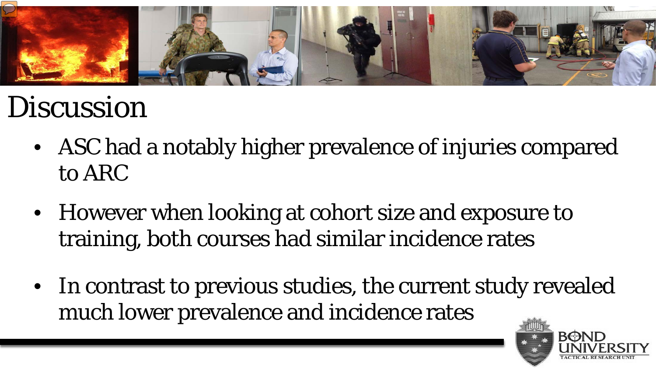

- ASC had a notably higher prevalence of injuries compared to ARC
- However when looking at cohort size and exposure to training, both courses had similar incidence rates
- In contrast to previous studies, the current study revealed much lower prevalence and incidence rates

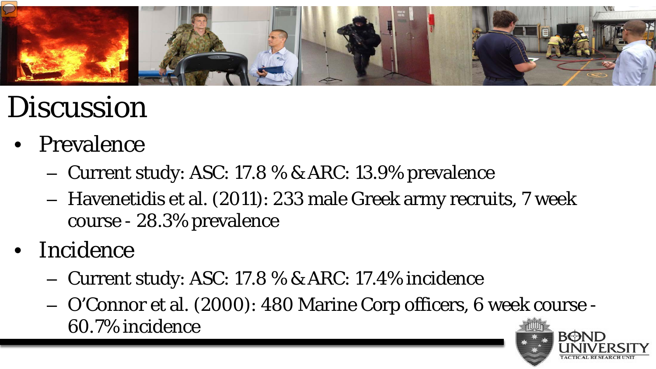

- Prevalence
	- Current study: ASC: 17.8 % & ARC: 13.9% prevalence
	- Havenetidis et al. (2011): 233 male Greek army recruits, 7 week course - 28.3% prevalence
- Incidence
	- Current study: ASC: 17.8 % & ARC: 17.4% incidence
	- O'Connor et al. (2000): 480 Marine Corp officers, 6 week course 60.7% incidence

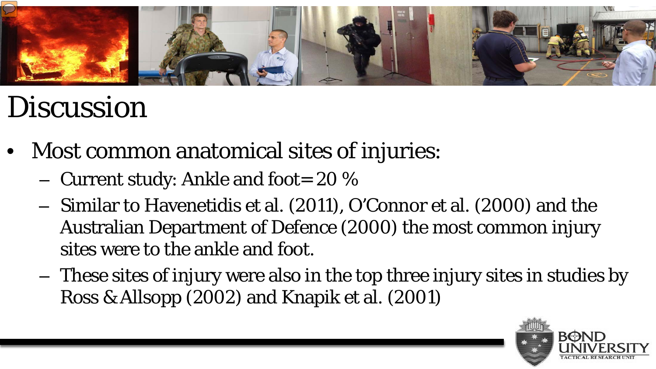

- Most common anatomical sites of injuries:
	- Current study: Ankle and foot= 20 %
	- Similar to Havenetidis et al. (2011), O'Connor et al. (2000) and the Australian Department of Defence (2000) the most common injury sites were to the ankle and foot.
	- These sites of injury were also in the top three injury sites in studies by Ross & Allsopp (2002) and Knapik et al. (2001)

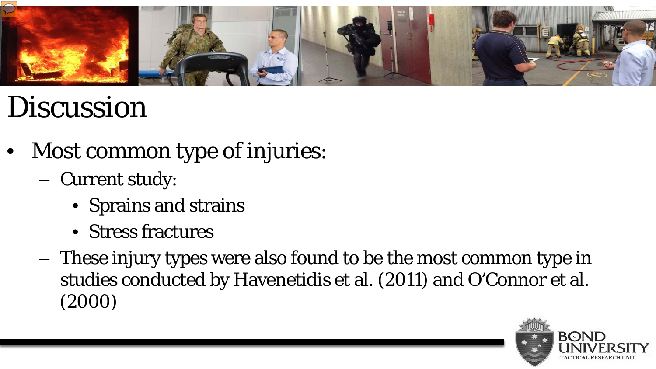

- Most common type of injuries:
	- Current study:
		- Sprains and strains
		- Stress fractures
	- These injury types were also found to be the most common type in studies conducted by Havenetidis et al. (2011) and O'Connor et al. (2000)

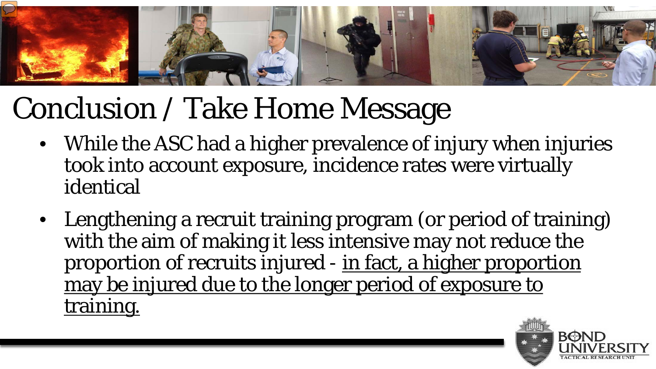

#### Conclusion / Take Home Message

- While the ASC had a higher prevalence of injury when injuries took into account exposure, incidence rates were virtually identical
- Lengthening a recruit training program (or period of training) with the aim of making it less intensive may not reduce the proportion of recruits injured - in fact, a higher proportion may be injured due to the longer period of exposure to training.

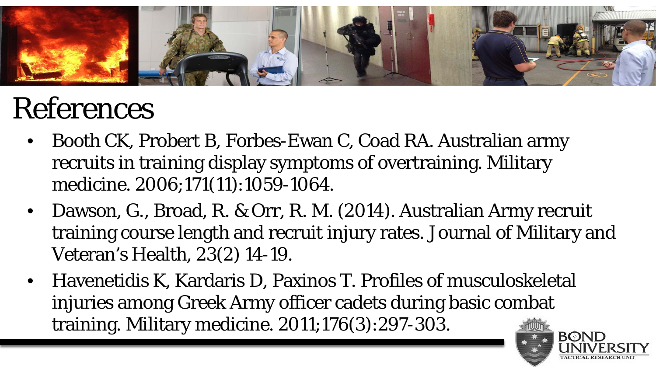

#### References

- Booth CK, Probert B, Forbes-Ewan C, Coad RA. Australian army recruits in training display symptoms of overtraining. Military medicine. 2006;171(11):1059-1064.
- Dawson, G., Broad, R. & Orr, R. M. (2014). Australian Army recruit training course length and recruit injury rates. Journal of Military and Veteran's Health, 23(2) 14-19.
- Havenetidis K, Kardaris D, Paxinos T. Profiles of musculoskeletal injuries among Greek Army officer cadets during basic combat training. Military medicine. 2011;176(3):297-303.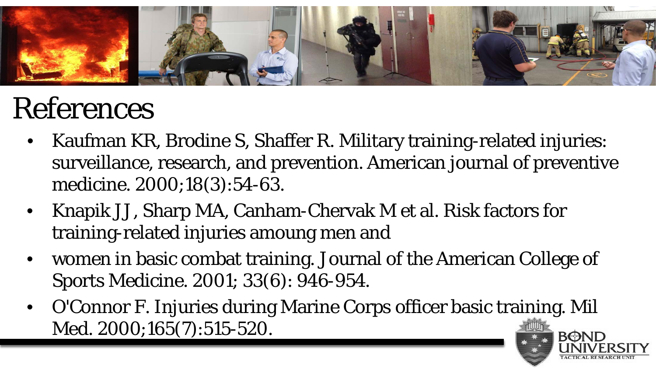

#### References

- Kaufman KR, Brodine S, Shaffer R. Military training-related injuries: surveillance, research, and prevention. American journal of preventive medicine. 2000;18(3):54-63.
- Knapik JJ, Sharp MA, Canham-Chervak M et al. Risk factors for training-related injuries amoung men and
- women in basic combat training. Journal of the American College of Sports Medicine. 2001; 33(6): 946-954.
- O'Connor F. Injuries during Marine Corps officer basic training. Mil Med. 2000;165(7):515-520. **BOND**